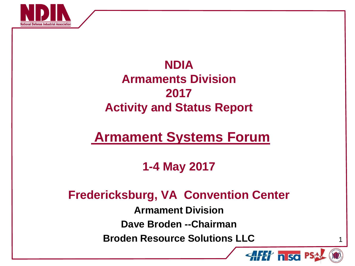

### **NDIA Armaments Division 2017 Activity and Status Report**

# **Armament Systems Forum**

### **1-4 May 2017**

### **Fredericksburg, VA Convention Center**

**Armament Division**

**Dave Broden --Chairman**

**Broden Resource Solutions LLC**



1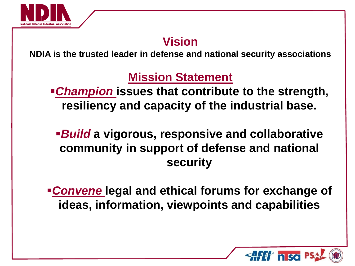

### **Vision**

**NDIA is the trusted leader in defense and national security associations** 

## **Mission Statement**

*Champion* **issues that contribute to the strength, resiliency and capacity of the industrial base.**

*Build* **a vigorous, responsive and collaborative community in support of defense and national security**

*Convene* **legal and ethical forums for exchange of ideas, information, viewpoints and capabilities**

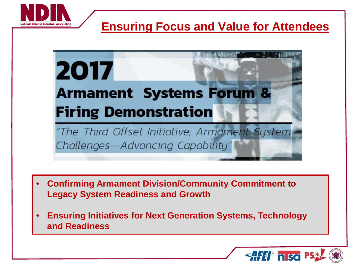

### **Ensuring Focus and Value for Attendees**



- **Confirming Armament Division/Community Commitment to Legacy System Readiness and Growth**
- **Ensuring Initiatives for Next Generation Systems, Technology and Readiness**

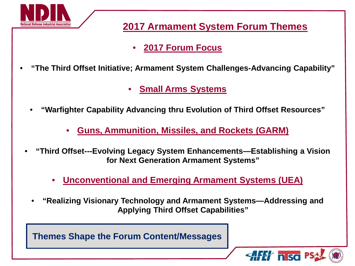

#### **2017 Armament System Forum Themes**

- **2017 Forum Focus**
- **"The Third Offset Initiative; Armament System Challenges-Advancing Capability"**
	- **Small Arms Systems**
	- **"Warfighter Capability Advancing thru Evolution of Third Offset Resources"**
		- **Guns, Ammunition, Missiles, and Rockets (GARM)**
	- **"Third Offset---Evolving Legacy System Enhancements—Establishing a Vision for Next Generation Armament Systems"**
		- **Unconventional and Emerging Armament Systems (UEA)**
		- **"Realizing Visionary Technology and Armament Systems—Addressing and Applying Third Offset Capabilities"**

**Themes Shape the Forum Content/Messages**

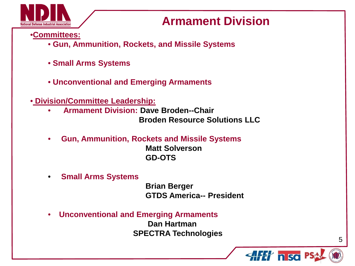

### **Armament Division**

•**Committees:**

- **Gun, Ammunition, Rockets, and Missile Systems**
- **Small Arms Systems**
- **Unconventional and Emerging Armaments**
- **Division/Committee Leadership:**
	- **Armament Division: Dave Broden--Chair Broden Resource Solutions LLC**
	- **Gun, Ammunition, Rockets and Missile Systems Matt Solverson GD-OTS**
	- **Small Arms Systems**

 **Brian Berger GTDS America-- President**

• **Unconventional and Emerging Armaments Dan Hartman SPECTRA Technologies**



5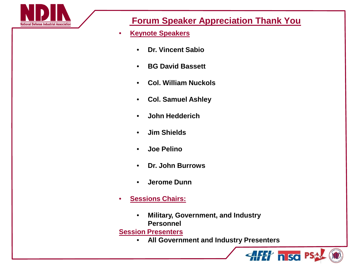

#### **Forum Speaker Appreciation Thank You**

- **Keynote Speakers**
	- **Dr. Vincent Sabio**
	- **BG David Bassett**
	- **Col. William Nuckols**
	- **Col. Samuel Ashley**
	- **John Hedderich**
	- **Jim Shields**
	- **Joe Pelino**
	- **Dr. John Burrows**
	- **Jerome Dunn**
- **Sessions Chairs:**
	- **Military, Government, and Industry Personnel**

**Session Presenters**

• **All Government and Industry Presenters**

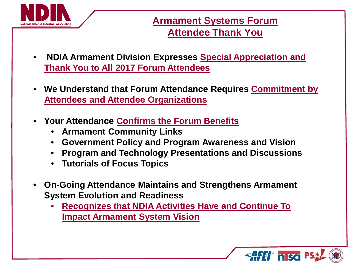

#### **Armament Systems Forum Attendee Thank You**

- **NDIA Armament Division Expresses Special Appreciation and Thank You to All 2017 Forum Attendees**
- **We Understand that Forum Attendance Requires Commitment by Attendees and Attendee Organizations**
- **Your Attendance Confirms the Forum Benefits** 
	- **Armament Community Links**
	- **Government Policy and Program Awareness and Vision**
	- **Program and Technology Presentations and Discussions**
	- **Tutorials of Focus Topics**
- **On-Going Attendance Maintains and Strengthens Armament System Evolution and Readiness**
	- **Recognizes that NDIA Activities Have and Continue To Impact Armament System Vision**

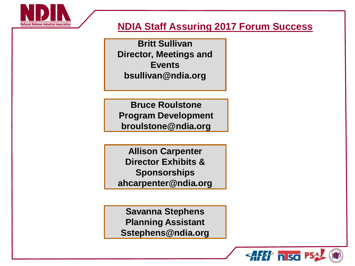

#### **NDIA Staff Assuring 2017 Forum Success**

 **Director, Meetings and Britt Sullivan Events bsullivan@ndia.org**

**Bruce Roulstone Program Development broulstone@ndia.org**

**Allison Carpenter Director Exhibits & Sponsorships ahcarpenter@ndia.org**

**Savanna Stephens Planning Assistant Sstephens@ndia.org**

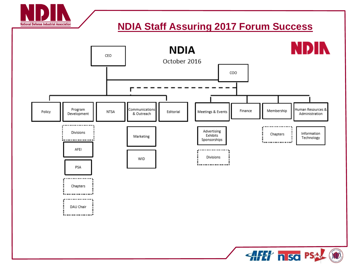

#### **NDIA Staff Assuring 2017 Forum Success**



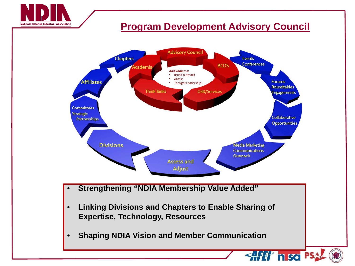

#### **Program Development Advisory Council**

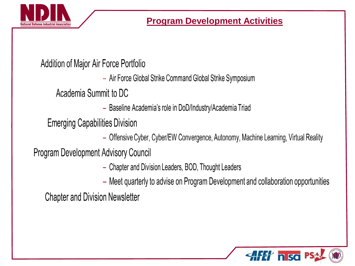

### Addition of Major Air Force Portfolio

- Air Force Global Strike Command Global Strike Symposium

Academia Summit to DC

- Baseline Academia's role in DoD/Industry/Academia Triad

**Emerging Capabilities Division** 

- Offensive Cyber, Cyber/EW Convergence, Autonomy, Machine Learning, Virtual Reality

**Program Development Advisory Council** 

- Chapter and Division Leaders, BOD, Thought Leaders
- Meet quarterly to advise on Program Development and collaboration opportunities

**Chapter and Division Newsletter** 

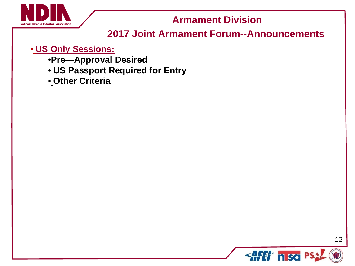

**Armament Division** 

#### **2017 Joint Armament Forum--Announcements**

#### • **US Only Sessions:**

- •**Pre—Approval Desired**
- **US Passport Required for Entry**
- **Other Criteria**

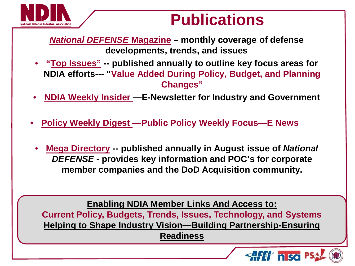

# **Publications**

*National DEFENSE* **Magazine – monthly coverage of defense developments, trends, and issues**

- **"Top Issues" -- published annually to outline key focus areas for NDIA efforts--- "Value Added During Policy, Budget, and Planning Changes"**
- **NDIA Weekly Insider —E-Newsletter for Industry and Government**
- **Policy Weekly Digest —Public Policy Weekly Focus—E News**
	- **Mega Directory -- published annually in August issue of** *National DEFENSE -* **provides key information and POC's for corporate member companies and the DoD Acquisition community.**

**Enabling NDIA Member Links And Access to:**

*"* **Helping to Shape Industry Vision—Building Partnership-Ensuring Current Policy, Budgets, Trends, Issues, Technology, and Systems Readiness**

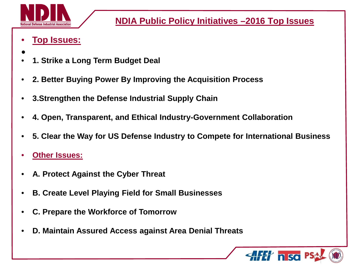

**NDIA Public Policy Initiatives –2016 Top Issues**

- **Top Issues:**
- $\bullet$ • **1. Strike a Long Term Budget Deal**
- **2. Better Buying Power By Improving the Acquisition Process**
- **3.Strengthen the Defense Industrial Supply Chain**
- **4. Open, Transparent, and Ethical Industry-Government Collaboration**
- **5. Clear the Way for US Defense Industry to Compete for International Business**
- **Other Issues:**
- **A. Protect Against the Cyber Threat**
- **B. Create Level Playing Field for Small Businesses**
- **C. Prepare the Workforce of Tomorrow**
- **D. Maintain Assured Access against Area Denial Threats**

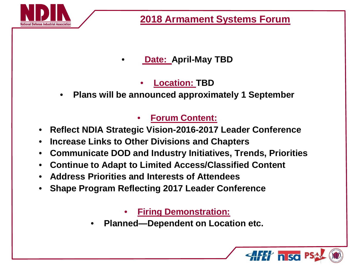

• **Date: April-May TBD**

#### • **Location: TBD**

• **Plans will be announced approximately 1 September**

#### • **Forum Content:**

- **Reflect NDIA Strategic Vision-2016-2017 Leader Conference**
- **Increase Links to Other Divisions and Chapters**
- **Communicate DOD and Industry Initiatives, Trends, Priorities**
- **Continue to Adapt to Limited Access/Classified Content**
- **Address Priorities and Interests of Attendees**
- **Shape Program Reflecting 2017 Leader Conference**

• **Firing Demonstration:**

• **Planned—Dependent on Location etc.**

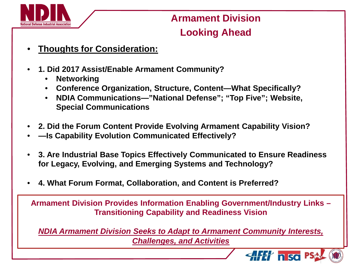

### **Armament Division Looking Ahead**

- **Thoughts for Consideration:**
- **1. Did 2017 Assist/Enable Armament Community?** 
	- **Networking**
	- **Conference Organization, Structure, Content—What Specifically?**
	- **NDIA Communications—"National Defense"; "Top Five"; Website, Special Communications**
- **2. Did the Forum Content Provide Evolving Armament Capability Vision?**
- **—Is Capability Evolution Communicated Effectively?**
- **3. Are Industrial Base Topics Effectively Communicated to Ensure Readiness for Legacy, Evolving, and Emerging Systems and Technology?**
- **4. What Forum Format, Collaboration, and Content is Preferred?**

**Armament Division Provides Information Enabling Government/Industry Links – Transitioning Capability and Readiness Vision**

*NDIA Armament Division Seeks to Adapt to Armament Community Interests, Challenges, and Activities* 

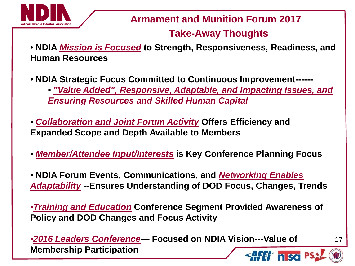

**Armament and Munition Forum 2017**

#### **Take-Away Thoughts**

- **NDIA** *Mission is Focused* **to Strength, Responsiveness, Readiness, and Human Resources**
- **NDIA Strategic Focus Committed to Continuous Improvement------** • *"Value Added", Responsive, Adaptable, and Impacting Issues, and Ensuring Resources and Skilled Human Capital*

• *Collaboration and Joint Forum Activity* **Offers Efficiency and Expanded Scope and Depth Available to Members**

- *Member/Attendee Input/Interests* **is Key Conference Planning Focus**
- **NDIA Forum Events, Communications, and** *Networking Enables Adaptability* **--Ensures Understanding of DOD Focus, Changes, Trends**

•*Training and Education* **Conference Segment Provided Awareness of Policy and DOD Changes and Focus Activity**

•*2016 Leaders Conference—* **Focused on NDIA Vision---Value of Membership Participation**